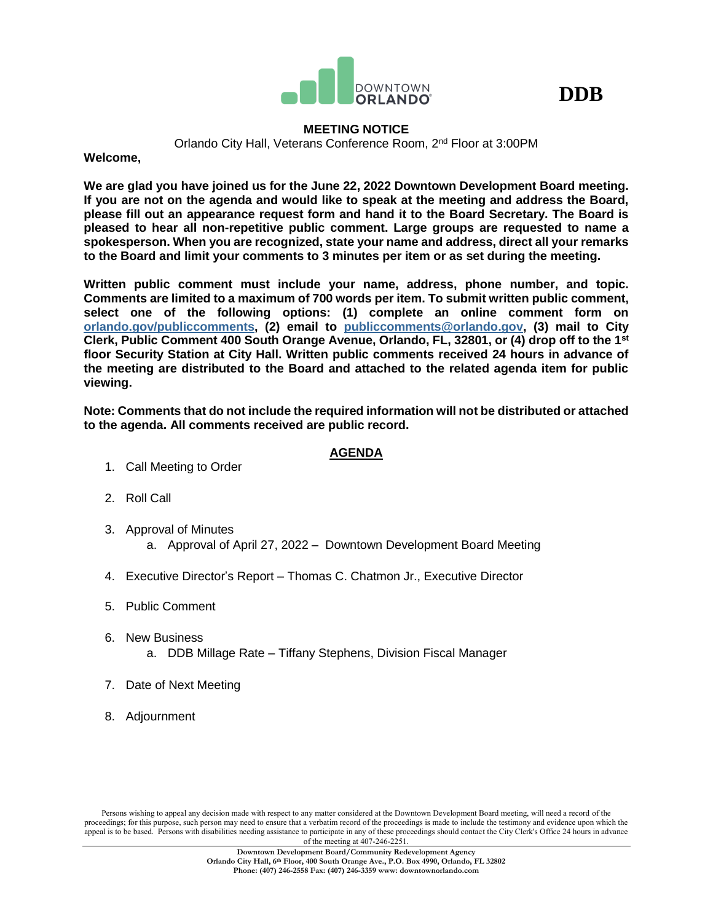



# **MEETING NOTICE**

Orlando City Hall, Veterans Conference Room, 2nd Floor at 3:00PM

**Welcome,**

**We are glad you have joined us for the June 22, 2022 Downtown Development Board meeting. If you are not on the agenda and would like to speak at the meeting and address the Board, please fill out an appearance request form and hand it to the Board Secretary. The Board is pleased to hear all non-repetitive public comment. Large groups are requested to name a spokesperson. When you are recognized, state your name and address, direct all your remarks to the Board and limit your comments to 3 minutes per item or as set during the meeting.**

**Written public comment must include your name, address, phone number, and topic. Comments are limited to a maximum of 700 words per item. To submit written public comment, select one of the following options: (1) complete an online comment form on [orlando.gov/publiccomments,](http://www.orlando.gov/publiccomments) (2) email to [publiccomments@orlando.gov,](mailto:publiccomments@orlando.gov) (3) mail to City Clerk, Public Comment 400 South Orange Avenue, Orlando, FL, 32801, or (4) drop off to the 1st floor Security Station at City Hall. Written public comments received 24 hours in advance of the meeting are distributed to the Board and attached to the related agenda item for public viewing.** 

**Note: Comments that do not include the required information will not be distributed or attached to the agenda. All comments received are public record.**

# **AGENDA**

- 1. Call Meeting to Order
- 2. Roll Call
- 3. Approval of Minutes a. Approval of April 27, 2022 – Downtown Development Board Meeting
- 4. Executive Director's Report Thomas C. Chatmon Jr., Executive Director
- 5. Public Comment
- 6. New Business a. DDB Millage Rate – Tiffany Stephens, Division Fiscal Manager
- 7. Date of Next Meeting
- 8. Adjournment

Persons wishing to appeal any decision made with respect to any matter considered at the Downtown Development Board meeting, will need a record of the proceedings; for this purpose, such person may need to ensure that a verbatim record of the proceedings is made to include the testimony and evidence upon which the appeal is to be based. Persons with disabilities needing assistance to participate in any of these proceedings should contact the City Clerk's Office 24 hours in advance of the meeting at 407-246-2251.